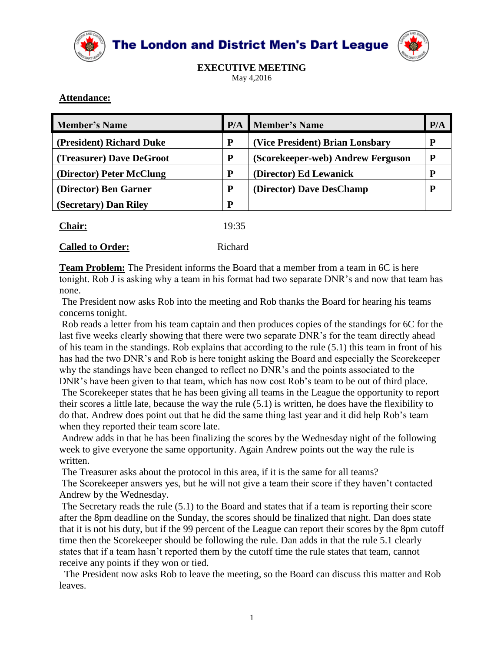

The London and District Men's Dart League



**EXECUTIVE MEETING** May 4,2016

## **Attendance:**

| <b>Member's Name</b>     |   | <b>P/A</b> Member's Name          | P/A |
|--------------------------|---|-----------------------------------|-----|
| (President) Richard Duke | P | (Vice President) Brian Lonsbary   | D   |
| (Treasurer) Dave DeGroot | P | (Scorekeeper-web) Andrew Ferguson |     |
| (Director) Peter McClung | P | (Director) Ed Lewanick            | D   |
| (Director) Ben Garner    | P | (Director) Dave DesChamp          | D   |
| (Secretary) Dan Riley    | P |                                   |     |
|                          |   |                                   |     |

| Chair: | 19:35 |
|--------|-------|
|        |       |

## **Called to Order:** Richard

**Team Problem:** The President informs the Board that a member from a team in 6C is here tonight. Rob J is asking why a team in his format had two separate DNR's and now that team has none.

The President now asks Rob into the meeting and Rob thanks the Board for hearing his teams concerns tonight.

Rob reads a letter from his team captain and then produces copies of the standings for 6C for the last five weeks clearly showing that there were two separate DNR's for the team directly ahead of his team in the standings. Rob explains that according to the rule (5.1) this team in front of his has had the two DNR's and Rob is here tonight asking the Board and especially the Scorekeeper why the standings have been changed to reflect no DNR's and the points associated to the

DNR's have been given to that team, which has now cost Rob's team to be out of third place. The Scorekeeper states that he has been giving all teams in the League the opportunity to report their scores a little late, because the way the rule (5.1) is written, he does have the flexibility to do that. Andrew does point out that he did the same thing last year and it did help Rob's team when they reported their team score late.

Andrew adds in that he has been finalizing the scores by the Wednesday night of the following week to give everyone the same opportunity. Again Andrew points out the way the rule is written.

The Treasurer asks about the protocol in this area, if it is the same for all teams?

The Scorekeeper answers yes, but he will not give a team their score if they haven't contacted Andrew by the Wednesday.

The Secretary reads the rule (5.1) to the Board and states that if a team is reporting their score after the 8pm deadline on the Sunday, the scores should be finalized that night. Dan does state that it is not his duty, but if the 99 percent of the League can report their scores by the 8pm cutoff time then the Scorekeeper should be following the rule. Dan adds in that the rule 5.1 clearly states that if a team hasn't reported them by the cutoff time the rule states that team, cannot receive any points if they won or tied.

The President now asks Rob to leave the meeting, so the Board can discuss this matter and Rob leaves.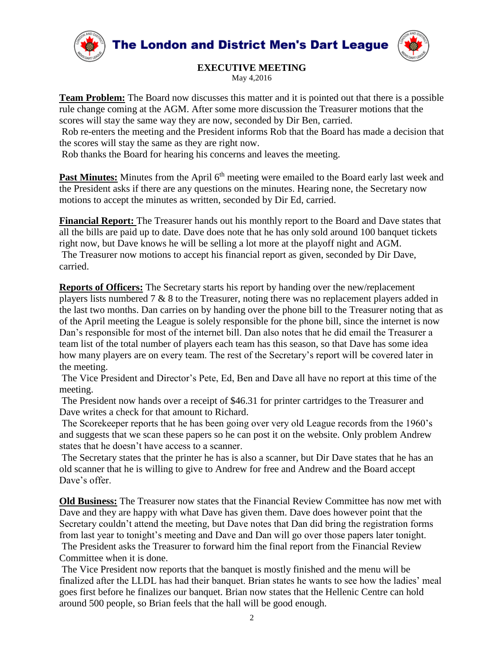The London and District Men's Dart League





**EXECUTIVE MEETING** May 4,2016

**Team Problem:** The Board now discusses this matter and it is pointed out that there is a possible rule change coming at the AGM. After some more discussion the Treasurer motions that the scores will stay the same way they are now, seconded by Dir Ben, carried.

Rob re-enters the meeting and the President informs Rob that the Board has made a decision that the scores will stay the same as they are right now.

Rob thanks the Board for hearing his concerns and leaves the meeting.

**Past Minutes:** Minutes from the April 6<sup>th</sup> meeting were emailed to the Board early last week and the President asks if there are any questions on the minutes. Hearing none, the Secretary now motions to accept the minutes as written, seconded by Dir Ed, carried.

**Financial Report:** The Treasurer hands out his monthly report to the Board and Dave states that all the bills are paid up to date. Dave does note that he has only sold around 100 banquet tickets right now, but Dave knows he will be selling a lot more at the playoff night and AGM. The Treasurer now motions to accept his financial report as given, seconded by Dir Dave, carried.

**Reports of Officers:** The Secretary starts his report by handing over the new/replacement players lists numbered 7 & 8 to the Treasurer, noting there was no replacement players added in the last two months. Dan carries on by handing over the phone bill to the Treasurer noting that as of the April meeting the League is solely responsible for the phone bill, since the internet is now Dan's responsible for most of the internet bill. Dan also notes that he did email the Treasurer a team list of the total number of players each team has this season, so that Dave has some idea how many players are on every team. The rest of the Secretary's report will be covered later in the meeting.

The Vice President and Director's Pete, Ed, Ben and Dave all have no report at this time of the meeting.

The President now hands over a receipt of \$46.31 for printer cartridges to the Treasurer and Dave writes a check for that amount to Richard.

The Scorekeeper reports that he has been going over very old League records from the 1960's and suggests that we scan these papers so he can post it on the website. Only problem Andrew states that he doesn't have access to a scanner.

The Secretary states that the printer he has is also a scanner, but Dir Dave states that he has an old scanner that he is willing to give to Andrew for free and Andrew and the Board accept Dave's offer.

**Old Business:** The Treasurer now states that the Financial Review Committee has now met with Dave and they are happy with what Dave has given them. Dave does however point that the Secretary couldn't attend the meeting, but Dave notes that Dan did bring the registration forms from last year to tonight's meeting and Dave and Dan will go over those papers later tonight.

The President asks the Treasurer to forward him the final report from the Financial Review Committee when it is done.

The Vice President now reports that the banquet is mostly finished and the menu will be finalized after the LLDL has had their banquet. Brian states he wants to see how the ladies' meal goes first before he finalizes our banquet. Brian now states that the Hellenic Centre can hold around 500 people, so Brian feels that the hall will be good enough.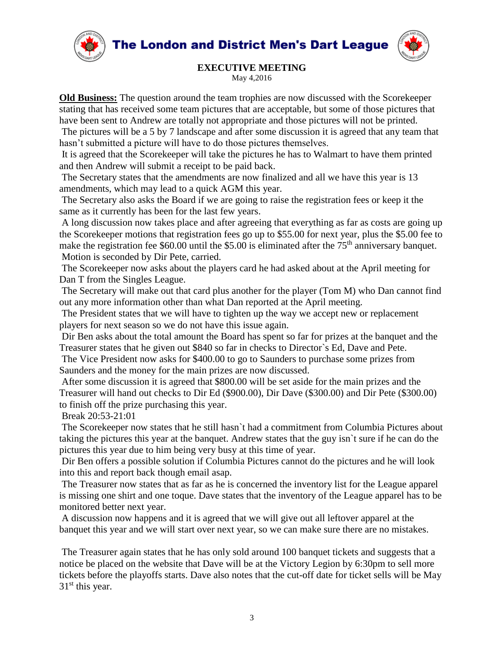**The London and District Men's Dart League** 





## **EXECUTIVE MEETING**

May 4,2016

**Old Business:** The question around the team trophies are now discussed with the Scorekeeper stating that has received some team pictures that are acceptable, but some of those pictures that have been sent to Andrew are totally not appropriate and those pictures will not be printed.

The pictures will be a 5 by 7 landscape and after some discussion it is agreed that any team that hasn't submitted a picture will have to do those pictures themselves.

It is agreed that the Scorekeeper will take the pictures he has to Walmart to have them printed and then Andrew will submit a receipt to be paid back.

The Secretary states that the amendments are now finalized and all we have this year is 13 amendments, which may lead to a quick AGM this year.

The Secretary also asks the Board if we are going to raise the registration fees or keep it the same as it currently has been for the last few years.

A long discussion now takes place and after agreeing that everything as far as costs are going up the Scorekeeper motions that registration fees go up to \$55.00 for next year, plus the \$5.00 fee to make the registration fee  $$60.00$  until the  $$5.00$  is eliminated after the  $75<sup>th</sup>$  anniversary banquet. Motion is seconded by Dir Pete, carried.

The Scorekeeper now asks about the players card he had asked about at the April meeting for Dan T from the Singles League.

The Secretary will make out that card plus another for the player (Tom M) who Dan cannot find out any more information other than what Dan reported at the April meeting.

The President states that we will have to tighten up the way we accept new or replacement players for next season so we do not have this issue again.

Dir Ben asks about the total amount the Board has spent so far for prizes at the banquet and the Treasurer states that he given out \$840 so far in checks to Director`s Ed, Dave and Pete.

The Vice President now asks for \$400.00 to go to Saunders to purchase some prizes from Saunders and the money for the main prizes are now discussed.

After some discussion it is agreed that \$800.00 will be set aside for the main prizes and the Treasurer will hand out checks to Dir Ed (\$900.00), Dir Dave (\$300.00) and Dir Pete (\$300.00) to finish off the prize purchasing this year.

Break 20:53-21:01

The Scorekeeper now states that he still hasn`t had a commitment from Columbia Pictures about taking the pictures this year at the banquet. Andrew states that the guy isn`t sure if he can do the pictures this year due to him being very busy at this time of year.

Dir Ben offers a possible solution if Columbia Pictures cannot do the pictures and he will look into this and report back though email asap.

The Treasurer now states that as far as he is concerned the inventory list for the League apparel is missing one shirt and one toque. Dave states that the inventory of the League apparel has to be monitored better next year.

A discussion now happens and it is agreed that we will give out all leftover apparel at the banquet this year and we will start over next year, so we can make sure there are no mistakes.

The Treasurer again states that he has only sold around 100 banquet tickets and suggests that a notice be placed on the website that Dave will be at the Victory Legion by 6:30pm to sell more tickets before the playoffs starts. Dave also notes that the cut-off date for ticket sells will be May 31<sup>st</sup> this year.